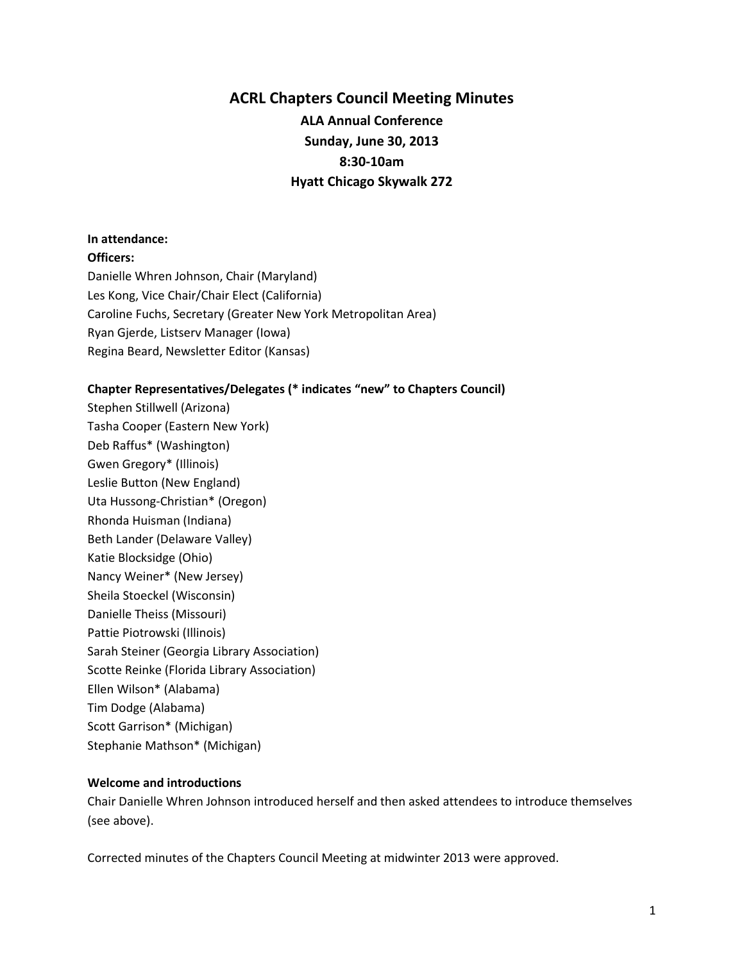## **ACRL Chapters Council Meeting Minutes ALA Annual Conference Sunday, June 30, 2013 8:30-10am Hyatt Chicago Skywalk 272**

## **In attendance:**

**Officers:**

Danielle Whren Johnson, Chair (Maryland) Les Kong, Vice Chair/Chair Elect (California) Caroline Fuchs, Secretary (Greater New York Metropolitan Area) Ryan Gjerde, Listserv Manager (Iowa) Regina Beard, Newsletter Editor (Kansas)

## **Chapter Representatives/Delegates (\* indicates "new" to Chapters Council)**

Stephen Stillwell (Arizona) Tasha Cooper (Eastern New York) Deb Raffus\* (Washington) Gwen Gregory\* (Illinois) Leslie Button (New England) Uta Hussong-Christian\* (Oregon) Rhonda Huisman (Indiana) Beth Lander (Delaware Valley) Katie Blocksidge (Ohio) Nancy Weiner\* (New Jersey) Sheila Stoeckel (Wisconsin) Danielle Theiss (Missouri) Pattie Piotrowski (Illinois) Sarah Steiner (Georgia Library Association) Scotte Reinke (Florida Library Association) Ellen Wilson\* (Alabama) Tim Dodge (Alabama) Scott Garrison\* (Michigan) Stephanie Mathson\* (Michigan)

## **Welcome and introductions**

Chair Danielle Whren Johnson introduced herself and then asked attendees to introduce themselves (see above).

Corrected minutes of the Chapters Council Meeting at midwinter 2013 were approved.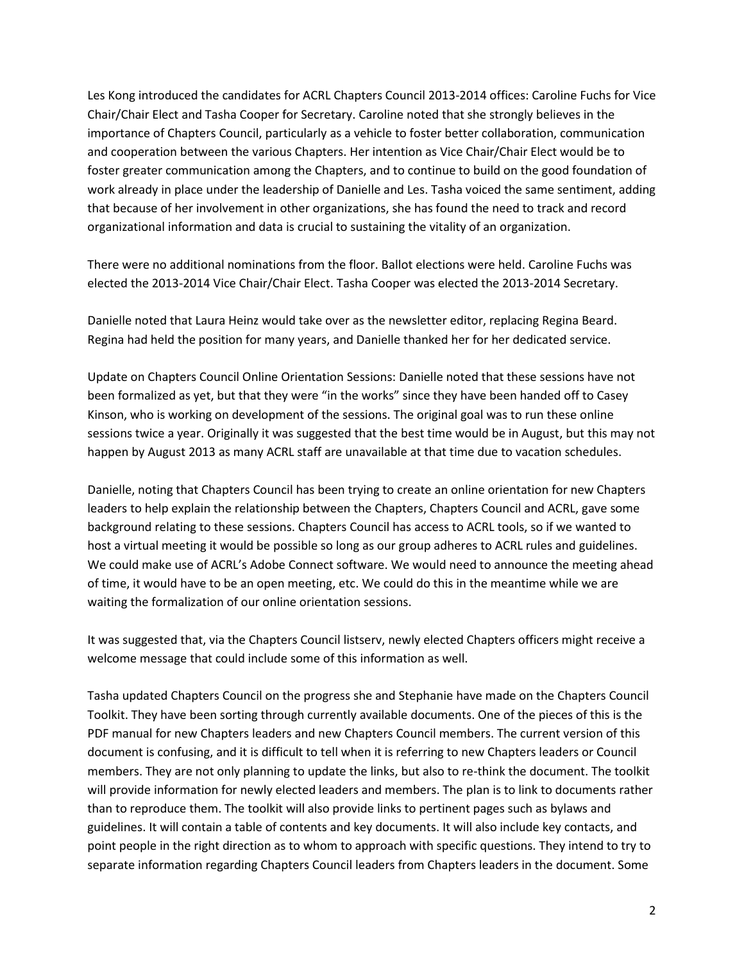Les Kong introduced the candidates for ACRL Chapters Council 2013-2014 offices: Caroline Fuchs for Vice Chair/Chair Elect and Tasha Cooper for Secretary. Caroline noted that she strongly believes in the importance of Chapters Council, particularly as a vehicle to foster better collaboration, communication and cooperation between the various Chapters. Her intention as Vice Chair/Chair Elect would be to foster greater communication among the Chapters, and to continue to build on the good foundation of work already in place under the leadership of Danielle and Les. Tasha voiced the same sentiment, adding that because of her involvement in other organizations, she has found the need to track and record organizational information and data is crucial to sustaining the vitality of an organization.

There were no additional nominations from the floor. Ballot elections were held. Caroline Fuchs was elected the 2013-2014 Vice Chair/Chair Elect. Tasha Cooper was elected the 2013-2014 Secretary.

Danielle noted that Laura Heinz would take over as the newsletter editor, replacing Regina Beard. Regina had held the position for many years, and Danielle thanked her for her dedicated service.

Update on Chapters Council Online Orientation Sessions: Danielle noted that these sessions have not been formalized as yet, but that they were "in the works" since they have been handed off to Casey Kinson, who is working on development of the sessions. The original goal was to run these online sessions twice a year. Originally it was suggested that the best time would be in August, but this may not happen by August 2013 as many ACRL staff are unavailable at that time due to vacation schedules.

Danielle, noting that Chapters Council has been trying to create an online orientation for new Chapters leaders to help explain the relationship between the Chapters, Chapters Council and ACRL, gave some background relating to these sessions. Chapters Council has access to ACRL tools, so if we wanted to host a virtual meeting it would be possible so long as our group adheres to ACRL rules and guidelines. We could make use of ACRL's Adobe Connect software. We would need to announce the meeting ahead of time, it would have to be an open meeting, etc. We could do this in the meantime while we are waiting the formalization of our online orientation sessions.

It was suggested that, via the Chapters Council listserv, newly elected Chapters officers might receive a welcome message that could include some of this information as well.

Tasha updated Chapters Council on the progress she and Stephanie have made on the Chapters Council Toolkit. They have been sorting through currently available documents. One of the pieces of this is the PDF manual for new Chapters leaders and new Chapters Council members. The current version of this document is confusing, and it is difficult to tell when it is referring to new Chapters leaders or Council members. They are not only planning to update the links, but also to re-think the document. The toolkit will provide information for newly elected leaders and members. The plan is to link to documents rather than to reproduce them. The toolkit will also provide links to pertinent pages such as bylaws and guidelines. It will contain a table of contents and key documents. It will also include key contacts, and point people in the right direction as to whom to approach with specific questions. They intend to try to separate information regarding Chapters Council leaders from Chapters leaders in the document. Some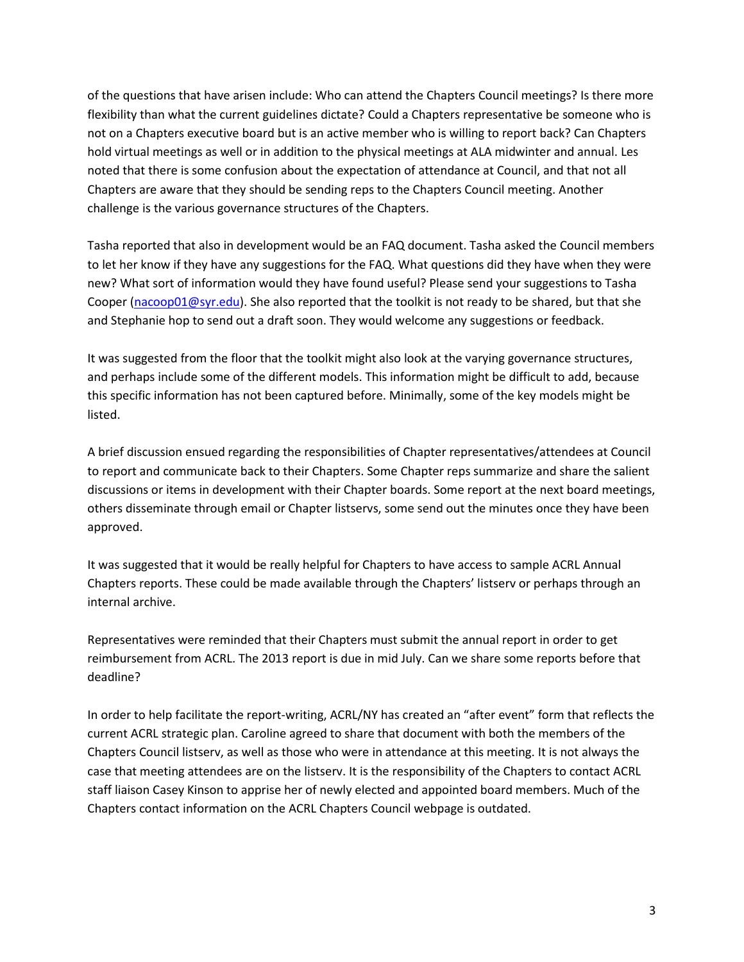of the questions that have arisen include: Who can attend the Chapters Council meetings? Is there more flexibility than what the current guidelines dictate? Could a Chapters representative be someone who is not on a Chapters executive board but is an active member who is willing to report back? Can Chapters hold virtual meetings as well or in addition to the physical meetings at ALA midwinter and annual. Les noted that there is some confusion about the expectation of attendance at Council, and that not all Chapters are aware that they should be sending reps to the Chapters Council meeting. Another challenge is the various governance structures of the Chapters.

Tasha reported that also in development would be an FAQ document. Tasha asked the Council members to let her know if they have any suggestions for the FAQ. What questions did they have when they were new? What sort of information would they have found useful? Please send your suggestions to Tasha Cooper [\(nacoop01@syr.edu\)](mailto:nacoop01@syr.edu). She also reported that the toolkit is not ready to be shared, but that she and Stephanie hop to send out a draft soon. They would welcome any suggestions or feedback.

It was suggested from the floor that the toolkit might also look at the varying governance structures, and perhaps include some of the different models. This information might be difficult to add, because this specific information has not been captured before. Minimally, some of the key models might be listed.

A brief discussion ensued regarding the responsibilities of Chapter representatives/attendees at Council to report and communicate back to their Chapters. Some Chapter reps summarize and share the salient discussions or items in development with their Chapter boards. Some report at the next board meetings, others disseminate through email or Chapter listservs, some send out the minutes once they have been approved.

It was suggested that it would be really helpful for Chapters to have access to sample ACRL Annual Chapters reports. These could be made available through the Chapters' listserv or perhaps through an internal archive.

Representatives were reminded that their Chapters must submit the annual report in order to get reimbursement from ACRL. The 2013 report is due in mid July. Can we share some reports before that deadline?

In order to help facilitate the report-writing, ACRL/NY has created an "after event" form that reflects the current ACRL strategic plan. Caroline agreed to share that document with both the members of the Chapters Council listserv, as well as those who were in attendance at this meeting. It is not always the case that meeting attendees are on the listserv. It is the responsibility of the Chapters to contact ACRL staff liaison Casey Kinson to apprise her of newly elected and appointed board members. Much of the Chapters contact information on the ACRL Chapters Council webpage is outdated.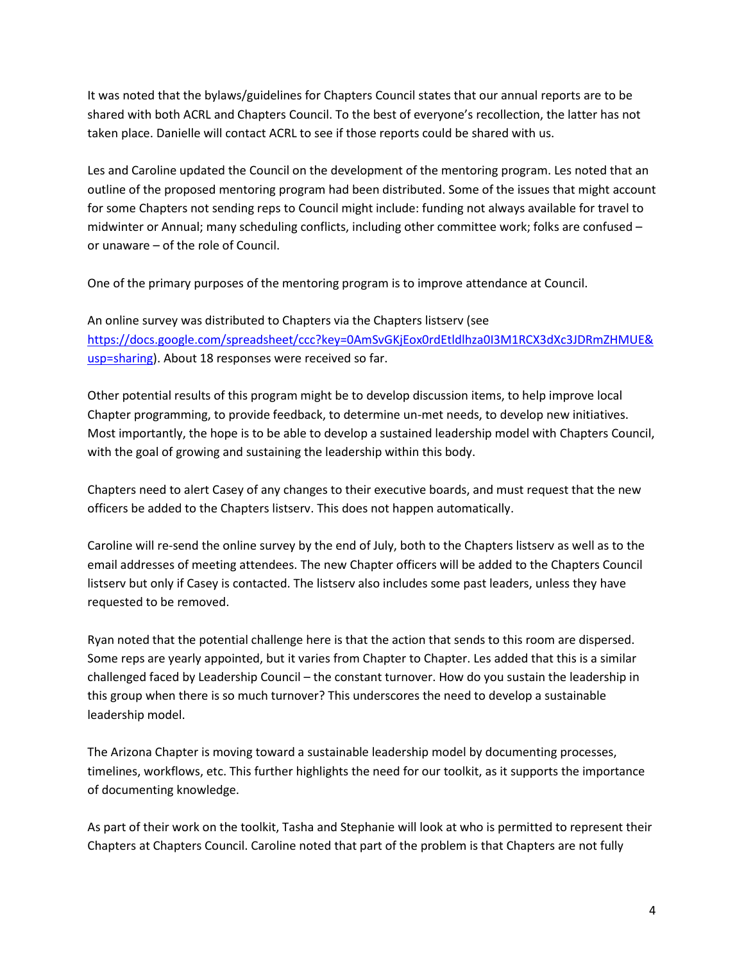It was noted that the bylaws/guidelines for Chapters Council states that our annual reports are to be shared with both ACRL and Chapters Council. To the best of everyone's recollection, the latter has not taken place. Danielle will contact ACRL to see if those reports could be shared with us.

Les and Caroline updated the Council on the development of the mentoring program. Les noted that an outline of the proposed mentoring program had been distributed. Some of the issues that might account for some Chapters not sending reps to Council might include: funding not always available for travel to midwinter or Annual; many scheduling conflicts, including other committee work; folks are confused – or unaware – of the role of Council.

One of the primary purposes of the mentoring program is to improve attendance at Council.

An online survey was distributed to Chapters via the Chapters listserv (see [https://docs.google.com/spreadsheet/ccc?key=0AmSvGKjEox0rdEtldlhza0I3M1RCX3dXc3JDRmZHMUE&](https://docs.google.com/spreadsheet/ccc?key=0AmSvGKjEox0rdEtldlhza0I3M1RCX3dXc3JDRmZHMUE&usp=sharing) [usp=sharing\)](https://docs.google.com/spreadsheet/ccc?key=0AmSvGKjEox0rdEtldlhza0I3M1RCX3dXc3JDRmZHMUE&usp=sharing). About 18 responses were received so far.

Other potential results of this program might be to develop discussion items, to help improve local Chapter programming, to provide feedback, to determine un-met needs, to develop new initiatives. Most importantly, the hope is to be able to develop a sustained leadership model with Chapters Council, with the goal of growing and sustaining the leadership within this body.

Chapters need to alert Casey of any changes to their executive boards, and must request that the new officers be added to the Chapters listserv. This does not happen automatically.

Caroline will re-send the online survey by the end of July, both to the Chapters listserv as well as to the email addresses of meeting attendees. The new Chapter officers will be added to the Chapters Council listserv but only if Casey is contacted. The listserv also includes some past leaders, unless they have requested to be removed.

Ryan noted that the potential challenge here is that the action that sends to this room are dispersed. Some reps are yearly appointed, but it varies from Chapter to Chapter. Les added that this is a similar challenged faced by Leadership Council – the constant turnover. How do you sustain the leadership in this group when there is so much turnover? This underscores the need to develop a sustainable leadership model.

The Arizona Chapter is moving toward a sustainable leadership model by documenting processes, timelines, workflows, etc. This further highlights the need for our toolkit, as it supports the importance of documenting knowledge.

As part of their work on the toolkit, Tasha and Stephanie will look at who is permitted to represent their Chapters at Chapters Council. Caroline noted that part of the problem is that Chapters are not fully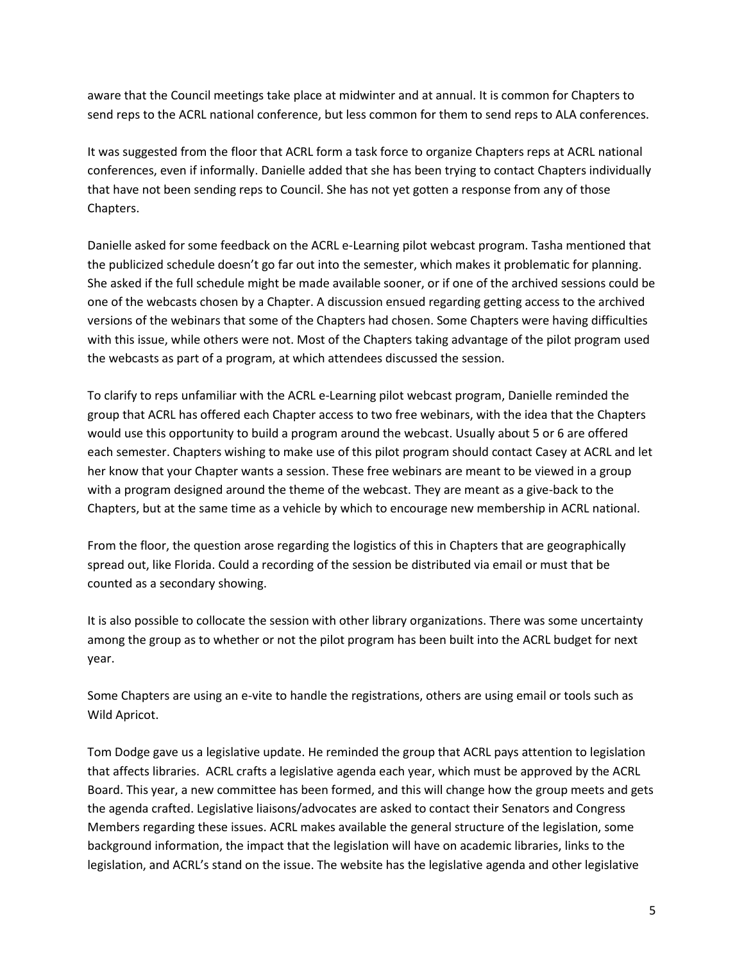aware that the Council meetings take place at midwinter and at annual. It is common for Chapters to send reps to the ACRL national conference, but less common for them to send reps to ALA conferences.

It was suggested from the floor that ACRL form a task force to organize Chapters reps at ACRL national conferences, even if informally. Danielle added that she has been trying to contact Chapters individually that have not been sending reps to Council. She has not yet gotten a response from any of those Chapters.

Danielle asked for some feedback on the ACRL e-Learning pilot webcast program. Tasha mentioned that the publicized schedule doesn't go far out into the semester, which makes it problematic for planning. She asked if the full schedule might be made available sooner, or if one of the archived sessions could be one of the webcasts chosen by a Chapter. A discussion ensued regarding getting access to the archived versions of the webinars that some of the Chapters had chosen. Some Chapters were having difficulties with this issue, while others were not. Most of the Chapters taking advantage of the pilot program used the webcasts as part of a program, at which attendees discussed the session.

To clarify to reps unfamiliar with the ACRL e-Learning pilot webcast program, Danielle reminded the group that ACRL has offered each Chapter access to two free webinars, with the idea that the Chapters would use this opportunity to build a program around the webcast. Usually about 5 or 6 are offered each semester. Chapters wishing to make use of this pilot program should contact Casey at ACRL and let her know that your Chapter wants a session. These free webinars are meant to be viewed in a group with a program designed around the theme of the webcast. They are meant as a give-back to the Chapters, but at the same time as a vehicle by which to encourage new membership in ACRL national.

From the floor, the question arose regarding the logistics of this in Chapters that are geographically spread out, like Florida. Could a recording of the session be distributed via email or must that be counted as a secondary showing.

It is also possible to collocate the session with other library organizations. There was some uncertainty among the group as to whether or not the pilot program has been built into the ACRL budget for next year.

Some Chapters are using an e-vite to handle the registrations, others are using email or tools such as Wild Apricot.

Tom Dodge gave us a legislative update. He reminded the group that ACRL pays attention to legislation that affects libraries. ACRL crafts a legislative agenda each year, which must be approved by the ACRL Board. This year, a new committee has been formed, and this will change how the group meets and gets the agenda crafted. Legislative liaisons/advocates are asked to contact their Senators and Congress Members regarding these issues. ACRL makes available the general structure of the legislation, some background information, the impact that the legislation will have on academic libraries, links to the legislation, and ACRL's stand on the issue. The website has the legislative agenda and other legislative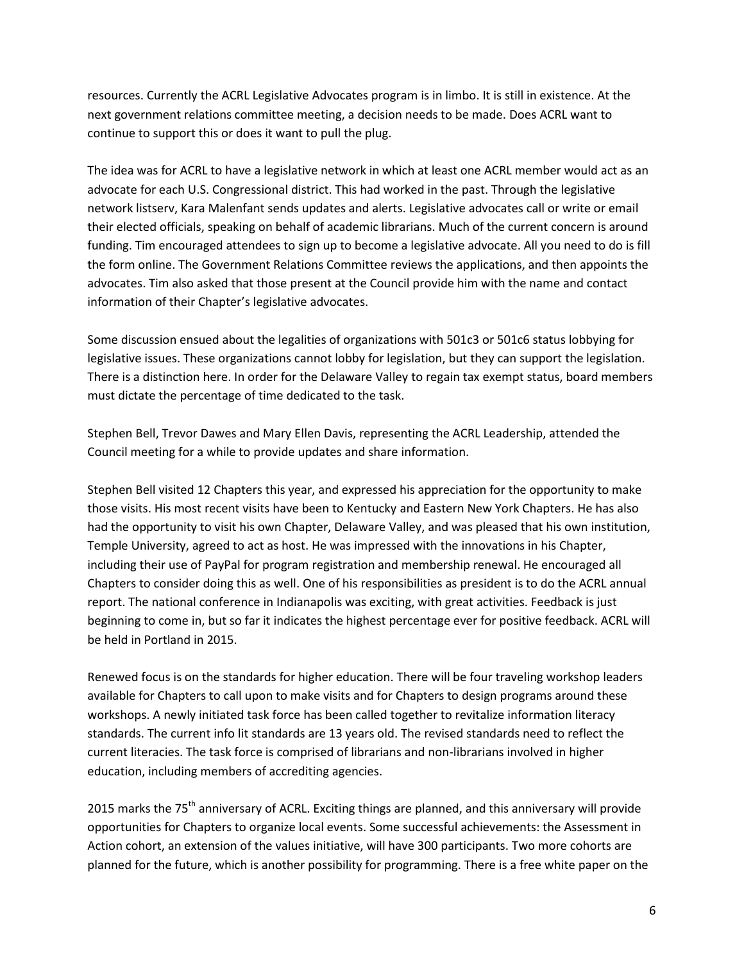resources. Currently the ACRL Legislative Advocates program is in limbo. It is still in existence. At the next government relations committee meeting, a decision needs to be made. Does ACRL want to continue to support this or does it want to pull the plug.

The idea was for ACRL to have a legislative network in which at least one ACRL member would act as an advocate for each U.S. Congressional district. This had worked in the past. Through the legislative network listserv, Kara Malenfant sends updates and alerts. Legislative advocates call or write or email their elected officials, speaking on behalf of academic librarians. Much of the current concern is around funding. Tim encouraged attendees to sign up to become a legislative advocate. All you need to do is fill the form online. The Government Relations Committee reviews the applications, and then appoints the advocates. Tim also asked that those present at the Council provide him with the name and contact information of their Chapter's legislative advocates.

Some discussion ensued about the legalities of organizations with 501c3 or 501c6 status lobbying for legislative issues. These organizations cannot lobby for legislation, but they can support the legislation. There is a distinction here. In order for the Delaware Valley to regain tax exempt status, board members must dictate the percentage of time dedicated to the task.

Stephen Bell, Trevor Dawes and Mary Ellen Davis, representing the ACRL Leadership, attended the Council meeting for a while to provide updates and share information.

Stephen Bell visited 12 Chapters this year, and expressed his appreciation for the opportunity to make those visits. His most recent visits have been to Kentucky and Eastern New York Chapters. He has also had the opportunity to visit his own Chapter, Delaware Valley, and was pleased that his own institution, Temple University, agreed to act as host. He was impressed with the innovations in his Chapter, including their use of PayPal for program registration and membership renewal. He encouraged all Chapters to consider doing this as well. One of his responsibilities as president is to do the ACRL annual report. The national conference in Indianapolis was exciting, with great activities. Feedback is just beginning to come in, but so far it indicates the highest percentage ever for positive feedback. ACRL will be held in Portland in 2015.

Renewed focus is on the standards for higher education. There will be four traveling workshop leaders available for Chapters to call upon to make visits and for Chapters to design programs around these workshops. A newly initiated task force has been called together to revitalize information literacy standards. The current info lit standards are 13 years old. The revised standards need to reflect the current literacies. The task force is comprised of librarians and non-librarians involved in higher education, including members of accrediting agencies.

2015 marks the 75<sup>th</sup> anniversary of ACRL. Exciting things are planned, and this anniversary will provide opportunities for Chapters to organize local events. Some successful achievements: the Assessment in Action cohort, an extension of the values initiative, will have 300 participants. Two more cohorts are planned for the future, which is another possibility for programming. There is a free white paper on the